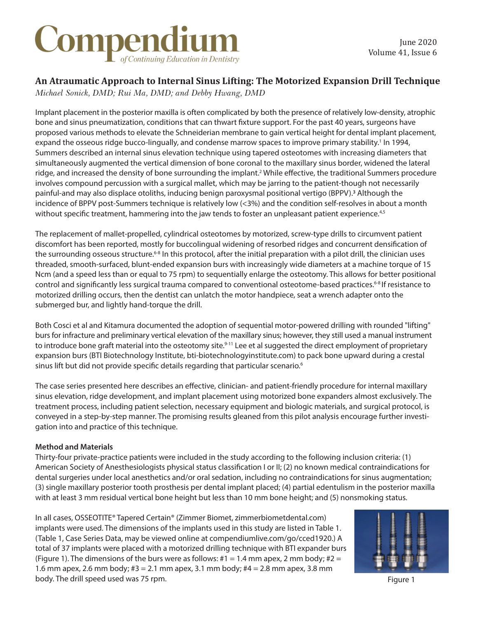### Compendium of Continuing Education in Dentistry

### **An Atraumatic Approach to Internal Sinus Lifting: The Motorized Expansion Drill Technique**

*Michael Sonick, DMD; Rui Ma, DMD; and Debby Hwang, DMD*

Implant placement in the posterior maxilla is often complicated by both the presence of relatively low-density, atrophic bone and sinus pneumatization, conditions that can thwart fixture support. For the past 40 years, surgeons have proposed various methods to elevate the Schneiderian membrane to gain vertical height for dental implant placement, expand the osseous ridge bucco-lingually, and condense marrow spaces to improve primary stability.<sup>1</sup> In 1994, Summers described an internal sinus elevation technique using tapered osteotomes with increasing diameters that simultaneously augmented the vertical dimension of bone coronal to the maxillary sinus border, widened the lateral ridge, and increased the density of bone surrounding the implant.<sup>2</sup> While effective, the traditional Summers procedure involves compound percussion with a surgical mallet, which may be jarring to the patient-though not necessarily painful-and may also displace otoliths, inducing benign paroxysmal positional vertigo (BPPV).<sup>3</sup> Although the incidence of BPPV post-Summers technique is relatively low (<3%) and the condition self-resolves in about a month without specific treatment, hammering into the jaw tends to foster an unpleasant patient experience.<sup>4,5</sup>

The replacement of mallet-propelled, cylindrical osteotomes by motorized, screw-type drills to circumvent patient discomfort has been reported, mostly for buccolingual widening of resorbed ridges and concurrent densification of the surrounding osseous structure.<sup>6-8</sup> In this protocol, after the initial preparation with a pilot drill, the clinician uses threaded, smooth-surfaced, blunt-ended expansion burs with increasingly wide diameters at a machine torque of 15 Ncm (and a speed less than or equal to 75 rpm) to sequentially enlarge the osteotomy. This allows for better positional control and significantly less surgical trauma compared to conventional osteotome-based practices.<sup>6-8</sup> If resistance to motorized drilling occurs, then the dentist can unlatch the motor handpiece, seat a wrench adapter onto the submerged bur, and lightly hand-torque the drill.

Both Cosci et al and Kitamura documented the adoption of sequential motor-powered drilling with rounded "lifting" burs for infracture and preliminary vertical elevation of the maxillary sinus; however, they still used a manual instrument to introduce bone graft material into the osteotomy site.<sup>9-11</sup> Lee et al suggested the direct employment of proprietary expansion burs (BTI Biotechnology Institute, bti-biotechnologyinstitute.com) to pack bone upward during a crestal sinus lift but did not provide specific details regarding that particular scenario.<sup>6</sup>

The case series presented here describes an effective, clinician- and patient-friendly procedure for internal maxillary sinus elevation, ridge development, and implant placement using motorized bone expanders almost exclusively. The treatment process, including patient selection, necessary equipment and biologic materials, and surgical protocol, is conveyed in a step-by-step manner. The promising results gleaned from this pilot analysis encourage further investigation into and practice of this technique.

#### **Method and Materials**

Thirty-four private-practice patients were included in the study according to the following inclusion criteria: (1) American Society of Anesthesiologists physical status classification I or II; (2) no known medical contraindications for dental surgeries under local anesthetics and/or oral sedation, including no contraindications for sinus augmentation; (3) single maxillary posterior tooth prosthesis per dental implant placed; (4) partial edentulism in the posterior maxilla with at least 3 mm residual vertical bone height but less than 10 mm bone height; and (5) nonsmoking status.

In all cases, OSSEOTITE® Tapered Certain® (Zimmer Biomet, zimmerbiometdental.com) implants were used. The dimensions of the implants used in this study are listed in Table 1. (Table 1, Case Series Data, may be viewed online at compendiumlive.com/go/cced1920.) A total of 37 implants were placed with a motorized drilling technique with BTI expander burs (Figure 1). The dimensions of the burs were as follows:  $#1 = 1.4$  mm apex, 2 mm body;  $#2 =$ 1.6 mm apex, 2.6 mm body; #3 = 2.1 mm apex, 3.1 mm body; #4 = 2.8 mm apex, 3.8 mm body. The drill speed used was 75 rpm.



Figure 1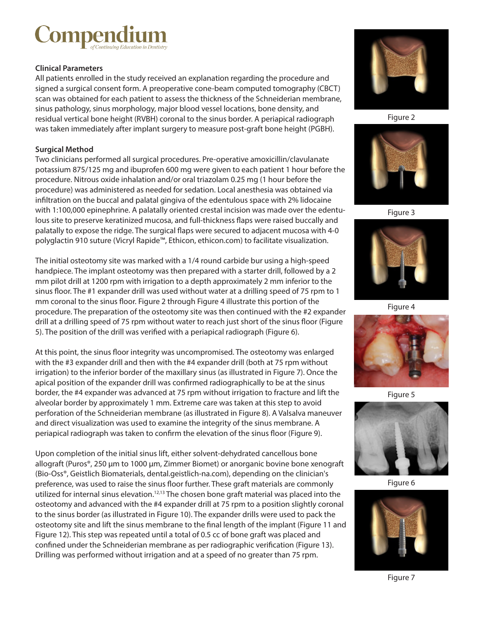## **Compen**

#### **Clinical Parameters**

All patients enrolled in the study received an explanation regarding the procedure and signed a surgical consent form. A preoperative cone-beam computed tomography (CBCT) scan was obtained for each patient to assess the thickness of the Schneiderian membrane, sinus pathology, sinus morphology, major blood vessel locations, bone density, and residual vertical bone height (RVBH) coronal to the sinus border. A periapical radiograph was taken immediately after implant surgery to measure post-graft bone height (PGBH).

#### **Surgical Method**

Two clinicians performed all surgical procedures. Pre-operative amoxicillin/clavulanate potassium 875/125 mg and ibuprofen 600 mg were given to each patient 1 hour before the procedure. Nitrous oxide inhalation and/or oral triazolam 0.25 mg (1 hour before the procedure) was administered as needed for sedation. Local anesthesia was obtained via infiltration on the buccal and palatal gingiva of the edentulous space with 2% lidocaine with 1:100,000 epinephrine. A palatally oriented crestal incision was made over the edentulous site to preserve keratinized mucosa, and full-thickness flaps were raised buccally and palatally to expose the ridge. The surgical flaps were secured to adjacent mucosa with 4-0 polyglactin 910 suture (Vicryl Rapide™, Ethicon, ethicon.com) to facilitate visualization.

The initial osteotomy site was marked with a 1/4 round carbide bur using a high-speed handpiece. The implant osteotomy was then prepared with a starter drill, followed by a 2 mm pilot drill at 1200 rpm with irrigation to a depth approximately 2 mm inferior to the sinus floor. The #1 expander drill was used without water at a drilling speed of 75 rpm to 1 mm coronal to the sinus floor. Figure 2 through Figure 4 illustrate this portion of the procedure. The preparation of the osteotomy site was then continued with the #2 expander drill at a drilling speed of 75 rpm without water to reach just short of the sinus floor (Figure 5). The position of the drill was verified with a periapical radiograph (Figure 6).

At this point, the sinus floor integrity was uncompromised. The osteotomy was enlarged with the #3 expander drill and then with the #4 expander drill (both at 75 rpm without irrigation) to the inferior border of the maxillary sinus (as illustrated in Figure 7). Once the apical position of the expander drill was confirmed radiographically to be at the sinus border, the #4 expander was advanced at 75 rpm without irrigation to fracture and lift the alveolar border by approximately 1 mm. Extreme care was taken at this step to avoid perforation of the Schneiderian membrane (as illustrated in Figure 8). A Valsalva maneuver and direct visualization was used to examine the integrity of the sinus membrane. A periapical radiograph was taken to confirm the elevation of the sinus floor (Figure 9).

Upon completion of the initial sinus lift, either solvent-dehydrated cancellous bone allograft (Puros®, 250  $\mu$ m to 1000  $\mu$ m, Zimmer Biomet) or anorganic bovine bone xenograft (Bio-Oss®, Geistlich Biomaterials, dental.geistlich-na.com), depending on the clinician's preference, was used to raise the sinus floor further. These graft materials are commonly utilized for internal sinus elevation.<sup>12,13</sup> The chosen bone graft material was placed into the osteotomy and advanced with the #4 expander drill at 75 rpm to a position slightly coronal to the sinus border (as illustrated in Figure 10). The expander drills were used to pack the osteotomy site and lift the sinus membrane to the final length of the implant (Figure 11 and Figure 12). This step was repeated until a total of 0.5 cc of bone graft was placed and confined under the Schneiderian membrane as per radiographic verification (Figure 13). Drilling was performed without irrigation and at a speed of no greater than 75 rpm.



Figure 2



Figure 3



Figure 4



Figure 5



Figure 6

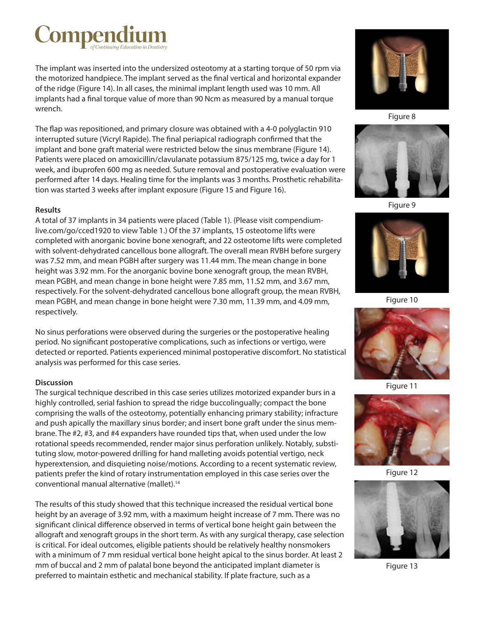# Compen

The implant was inserted into the undersized osteotomy at a starting torque of 50 rpm via the motorized handpiece. The implant served as the final vertical and horizontal expander of the ridge (Figure 14). In all cases, the minimal implant length used was 10 mm. All implants had a final torque value of more than 90 Ncm as measured by a manual torque wrench.

The flap was repositioned, and primary closure was obtained with a 4-0 polyglactin 910 interrupted suture (Vicryl Rapide). The final periapical radiograph confirmed that the implant and bone graft material were restricted below the sinus membrane (Figure 14). Patients were placed on amoxicillin/clavulanate potassium 875/125 mg, twice a day for 1 week, and ibuprofen 600 mg as needed. Suture removal and postoperative evaluation were performed after 14 days. Healing time for the implants was 3 months. Prosthetic rehabilitation was started 3 weeks after implant exposure (Figure 15 and Figure 16).

#### **Results**

A total of 37 implants in 34 patients were placed (Table 1). (Please visit compendiumlive.com/go/cced1920 to view Table 1.) Of the 37 implants, 15 osteotome lifts were completed with anorganic bovine bone xenograft, and 22 osteotome lifts were completed with solvent-dehydrated cancellous bone allograft. The overall mean RVBH before surgery was 7.52 mm, and mean PGBH after surgery was 11.44 mm. The mean change in bone height was 3.92 mm. For the anorganic bovine bone xenograft group, the mean RVBH, mean PGBH, and mean change in bone height were 7.85 mm, 11.52 mm, and 3.67 mm, respectively. For the solvent-dehydrated cancellous bone allograft group, the mean RVBH, mean PGBH, and mean change in bone height were 7.30 mm, 11.39 mm, and 4.09 mm, respectively.

No sinus perforations were observed during the surgeries or the postoperative healing period. No significant postoperative complications, such as infections or vertigo, were detected or reported. Patients experienced minimal postoperative discomfort. No statistical analysis was performed for this case series.

#### **Discussion**

The surgical technique described in this case series utilizes motorized expander burs in a highly controlled, serial fashion to spread the ridge buccolingually; compact the bone comprising the walls of the osteotomy, potentially enhancing primary stability; infracture and push apically the maxillary sinus border; and insert bone graft under the sinus membrane. The #2, #3, and #4 expanders have rounded tips that, when used under the low rotational speeds recommended, render major sinus perforation unlikely. Notably, substituting slow, motor-powered drilling for hand malleting avoids potential vertigo, neck hyperextension, and disquieting noise/motions. According to a recent systematic review, patients prefer the kind of rotary instrumentation employed in this case series over the conventional manual alternative (mallet).<sup>14</sup>

The results of this study showed that this technique increased the residual vertical bone height by an average of 3.92 mm, with a maximum height increase of 7 mm. There was no significant clinical difference observed in terms of vertical bone height gain between the allograft and xenograft groups in the short term. As with any surgical therapy, case selection is critical. For ideal outcomes, eligible patients should be relatively healthy nonsmokers with a minimum of 7 mm residual vertical bone height apical to the sinus border. At least 2 mm of buccal and 2 mm of palatal bone beyond the anticipated implant diameter is preferred to maintain esthetic and mechanical stability. If plate fracture, such as a



Figure 8



Figure 9



Figure 10



Figure 11



Figure 12



Figure 13